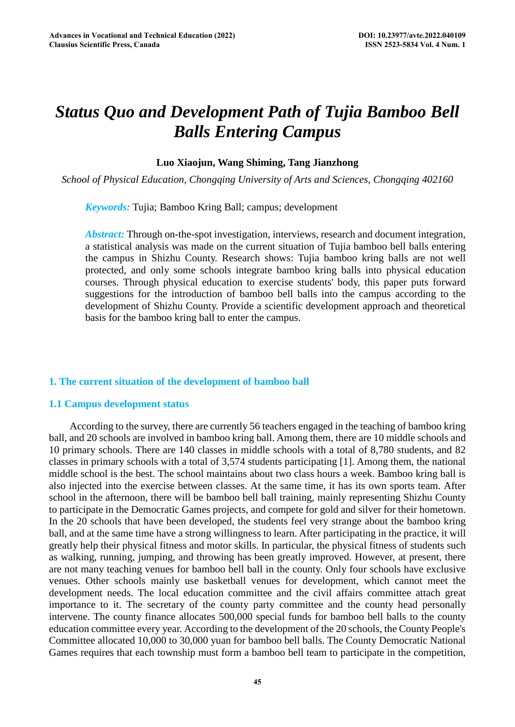# *Status Quo and Development Path of Tujia Bamboo Bell Balls Entering Campus*

# **Luo Xiaojun, Wang Shiming, Tang Jianzhong**

*School of Physical Education, Chongqing University of Arts and Sciences, Chongqing 402160* 

*Keywords:* Tujia; Bamboo Kring Ball; campus; development

*Abstract:* Through on-the-spot investigation, interviews, research and document integration, a statistical analysis was made on the current situation of Tujia bamboo bell balls entering the campus in Shizhu County. Research shows: Tujia bamboo kring balls are not well protected, and only some schools integrate bamboo kring balls into physical education courses. Through physical education to exercise students' body, this paper puts forward suggestions for the introduction of bamboo bell balls into the campus according to the development of Shizhu County. Provide a scientific development approach and theoretical basis for the bamboo kring ball to enter the campus.

# **1. The current situation of the development of bamboo ball**

# **1.1 Campus development status**

According to the survey, there are currently 56 teachers engaged in the teaching of bamboo kring ball, and 20 schools are involved in bamboo kring ball. Among them, there are 10 middle schools and 10 primary schools. There are 140 classes in middle schools with a total of 8,780 students, and 82 classes in primary schools with a total of 3,574 students participating [1]. Among them, the national middle school is the best. The school maintains about two class hours a week. Bamboo kring ball is also injected into the exercise between classes. At the same time, it has its own sports team. After school in the afternoon, there will be bamboo bell ball training, mainly representing Shizhu County to participate in the Democratic Games projects, and compete for gold and silver for their hometown. In the 20 schools that have been developed, the students feel very strange about the bamboo kring ball, and at the same time have a strong willingness to learn. After participating in the practice, it will greatly help their physical fitness and motor skills. In particular, the physical fitness of students such as walking, running, jumping, and throwing has been greatly improved. However, at present, there are not many teaching venues for bamboo bell ball in the county. Only four schools have exclusive venues. Other schools mainly use basketball venues for development, which cannot meet the development needs. The local education committee and the civil affairs committee attach great importance to it. The secretary of the county party committee and the county head personally intervene. The county finance allocates 500,000 special funds for bamboo bell balls to the county education committee every year. According to the development of the 20 schools, the County People's Committee allocated 10,000 to 30,000 yuan for bamboo bell balls. The County Democratic National Games requires that each township must form a bamboo bell team to participate in the competition,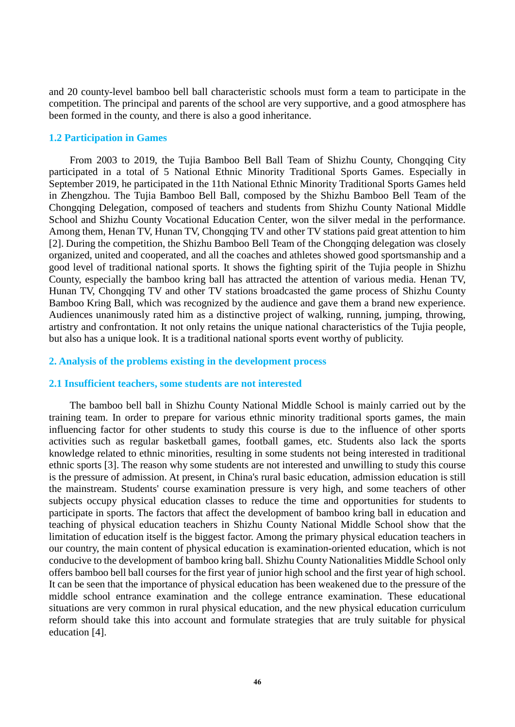and 20 county-level bamboo bell ball characteristic schools must form a team to participate in the competition. The principal and parents of the school are very supportive, and a good atmosphere has been formed in the county, and there is also a good inheritance.

## **1.2 Participation in Games**

From 2003 to 2019, the Tujia Bamboo Bell Ball Team of Shizhu County, Chongqing City participated in a total of 5 National Ethnic Minority Traditional Sports Games. Especially in September 2019, he participated in the 11th National Ethnic Minority Traditional Sports Games held in Zhengzhou. The Tujia Bamboo Bell Ball, composed by the Shizhu Bamboo Bell Team of the Chongqing Delegation, composed of teachers and students from Shizhu County National Middle School and Shizhu County Vocational Education Center, won the silver medal in the performance. Among them, Henan TV, Hunan TV, Chongqing TV and other TV stations paid great attention to him [2]. During the competition, the Shizhu Bamboo Bell Team of the Chongqing delegation was closely organized, united and cooperated, and all the coaches and athletes showed good sportsmanship and a good level of traditional national sports. It shows the fighting spirit of the Tujia people in Shizhu County, especially the bamboo kring ball has attracted the attention of various media. Henan TV, Hunan TV, Chongqing TV and other TV stations broadcasted the game process of Shizhu County Bamboo Kring Ball, which was recognized by the audience and gave them a brand new experience. Audiences unanimously rated him as a distinctive project of walking, running, jumping, throwing, artistry and confrontation. It not only retains the unique national characteristics of the Tujia people, but also has a unique look. It is a traditional national sports event worthy of publicity.

## **2. Analysis of the problems existing in the development process**

## **2.1 Insufficient teachers, some students are not interested**

The bamboo bell ball in Shizhu County National Middle School is mainly carried out by the training team. In order to prepare for various ethnic minority traditional sports games, the main influencing factor for other students to study this course is due to the influence of other sports activities such as regular basketball games, football games, etc. Students also lack the sports knowledge related to ethnic minorities, resulting in some students not being interested in traditional ethnic sports [3]. The reason why some students are not interested and unwilling to study this course is the pressure of admission. At present, in China's rural basic education, admission education is still the mainstream. Students' course examination pressure is very high, and some teachers of other subjects occupy physical education classes to reduce the time and opportunities for students to participate in sports. The factors that affect the development of bamboo kring ball in education and teaching of physical education teachers in Shizhu County National Middle School show that the limitation of education itself is the biggest factor. Among the primary physical education teachers in our country, the main content of physical education is examination-oriented education, which is not conducive to the development of bamboo kring ball. Shizhu County Nationalities Middle School only offers bamboo bell ball courses for the first year of junior high school and the first year of high school. It can be seen that the importance of physical education has been weakened due to the pressure of the middle school entrance examination and the college entrance examination. These educational situations are very common in rural physical education, and the new physical education curriculum reform should take this into account and formulate strategies that are truly suitable for physical education [4].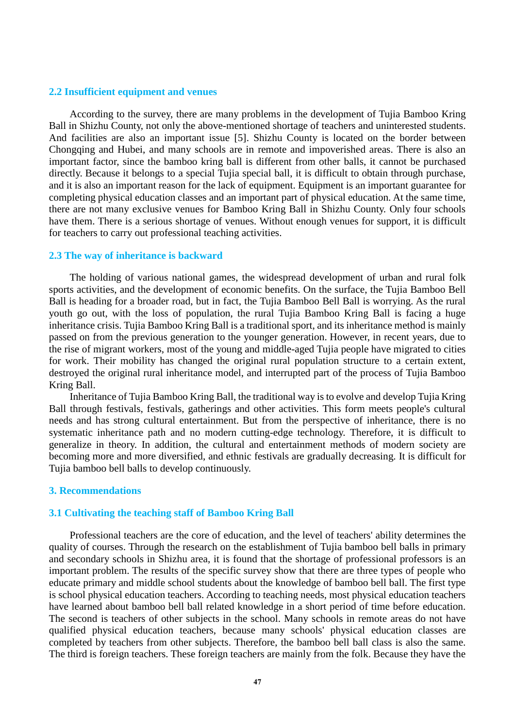## **2.2 Insufficient equipment and venues**

According to the survey, there are many problems in the development of Tujia Bamboo Kring Ball in Shizhu County, not only the above-mentioned shortage of teachers and uninterested students. And facilities are also an important issue [5]. Shizhu County is located on the border between Chongqing and Hubei, and many schools are in remote and impoverished areas. There is also an important factor, since the bamboo kring ball is different from other balls, it cannot be purchased directly. Because it belongs to a special Tujia special ball, it is difficult to obtain through purchase, and it is also an important reason for the lack of equipment. Equipment is an important guarantee for completing physical education classes and an important part of physical education. At the same time, there are not many exclusive venues for Bamboo Kring Ball in Shizhu County. Only four schools have them. There is a serious shortage of venues. Without enough venues for support, it is difficult for teachers to carry out professional teaching activities.

#### **2.3 The way of inheritance is backward**

The holding of various national games, the widespread development of urban and rural folk sports activities, and the development of economic benefits. On the surface, the Tujia Bamboo Bell Ball is heading for a broader road, but in fact, the Tujia Bamboo Bell Ball is worrying. As the rural youth go out, with the loss of population, the rural Tujia Bamboo Kring Ball is facing a huge inheritance crisis. Tujia Bamboo Kring Ball is a traditional sport, and its inheritance method is mainly passed on from the previous generation to the younger generation. However, in recent years, due to the rise of migrant workers, most of the young and middle-aged Tujia people have migrated to cities for work. Their mobility has changed the original rural population structure to a certain extent, destroyed the original rural inheritance model, and interrupted part of the process of Tujia Bamboo Kring Ball.

Inheritance of Tujia Bamboo Kring Ball, the traditional way is to evolve and develop Tujia Kring Ball through festivals, festivals, gatherings and other activities. This form meets people's cultural needs and has strong cultural entertainment. But from the perspective of inheritance, there is no systematic inheritance path and no modern cutting-edge technology. Therefore, it is difficult to generalize in theory. In addition, the cultural and entertainment methods of modern society are becoming more and more diversified, and ethnic festivals are gradually decreasing. It is difficult for Tujia bamboo bell balls to develop continuously.

#### **3. Recommendations**

#### **3.1 Cultivating the teaching staff of Bamboo Kring Ball**

Professional teachers are the core of education, and the level of teachers' ability determines the quality of courses. Through the research on the establishment of Tujia bamboo bell balls in primary and secondary schools in Shizhu area, it is found that the shortage of professional professors is an important problem. The results of the specific survey show that there are three types of people who educate primary and middle school students about the knowledge of bamboo bell ball. The first type is school physical education teachers. According to teaching needs, most physical education teachers have learned about bamboo bell ball related knowledge in a short period of time before education. The second is teachers of other subjects in the school. Many schools in remote areas do not have qualified physical education teachers, because many schools' physical education classes are completed by teachers from other subjects. Therefore, the bamboo bell ball class is also the same. The third is foreign teachers. These foreign teachers are mainly from the folk. Because they have the